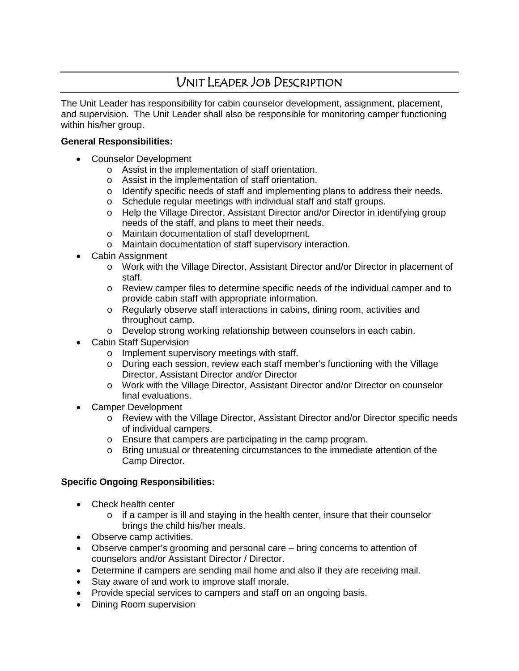## UNIT LEADER JOB DESCRIPTION

The Unit Leader has responsibility for cabin counselor development, assignment, placement, and supervision. The Unit Leader shall also be responsible for monitoring camper functioning within his/her group.

## **General Responsibilities:**

- Counselor Development
	- o Assist in the implementation of staff orientation.
	- o Assist in the implementation of staff orientation.
	- o Identify specific needs of staff and implementing plans to address their needs.
	- o Schedule regular meetings with individual staff and staff groups.
	- o Help the Village Director, Assistant Director and/or Director in identifying group needs of the staff, and plans to meet their needs.
	- o Maintain documentation of staff development.
	- o Maintain documentation of staff supervisory interaction.
- Cabin Assignment
	- o Work with the Village Director, Assistant Director and/or Director in placement of staff.
	- o Review camper files to determine specific needs of the individual camper and to provide cabin staff with appropriate information.
	- o Regularly observe staff interactions in cabins, dining room, activities and throughout camp.
	- o Develop strong working relationship between counselors in each cabin.
- Cabin Staff Supervision
	- o Implement supervisory meetings with staff.
	- o During each session, review each staff member's functioning with the Village Director, Assistant Director and/or Director
	- o Work with the Village Director, Assistant Director and/or Director on counselor final evaluations.
- Camper Development
	- o Review with the Village Director, Assistant Director and/or Director specific needs of individual campers.
	- o Ensure that campers are participating in the camp program.
	- o Bring unusual or threatening circumstances to the immediate attention of the Camp Director.

## **Specific Ongoing Responsibilities:**

- Check health center
	- $\circ$  if a camper is ill and staying in the health center, insure that their counselor brings the child his/her meals.
- Observe camp activities.
- Observe camper's grooming and personal care bring concerns to attention of counselors and/or Assistant Director / Director.
- Determine if campers are sending mail home and also if they are receiving mail.
- Stay aware of and work to improve staff morale.
- Provide special services to campers and staff on an ongoing basis.
- Dining Room supervision